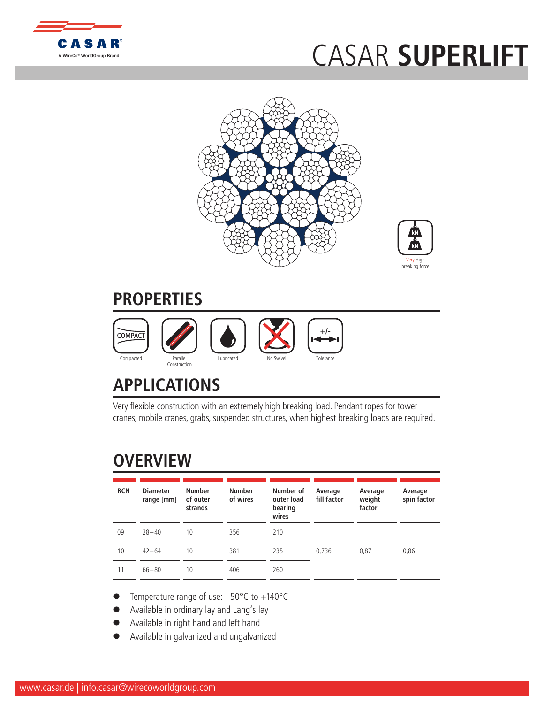

## CASAR **SUPERLIFT**





## **PROPERTIES**



## **APPLICATIONS**

Very flexible construction with an extremely high breaking load. Pendant ropes for tower cranes, mobile cranes, grabs, suspended structures, when highest breaking loads are required.

## **OVERVIEW**

| <b>RCN</b> | <b>Diameter</b><br>range [mm] | <b>Number</b><br>of outer<br>strands | <b>Number</b><br>of wires | Number of<br>outer load<br>bearing<br>wires | Average<br>fill factor | Average<br>weight<br>factor | Average<br>spin factor |
|------------|-------------------------------|--------------------------------------|---------------------------|---------------------------------------------|------------------------|-----------------------------|------------------------|
| 09         | $28 - 40$                     | 10                                   | 356                       | 210                                         |                        |                             |                        |
| 10         | $42 - 64$                     | 10                                   | 381                       | 235                                         | 0,736                  | 0,87                        | 0,86                   |
| 11         | $66 - 80$                     | 10                                   | 406                       | 260                                         |                        |                             |                        |

- Temperature range of use:  $-50^{\circ}$ C to  $+140^{\circ}$ C
- Available in ordinary lay and Lang's lay
- l Available in right hand and left hand
- l Available in galvanized and ungalvanized